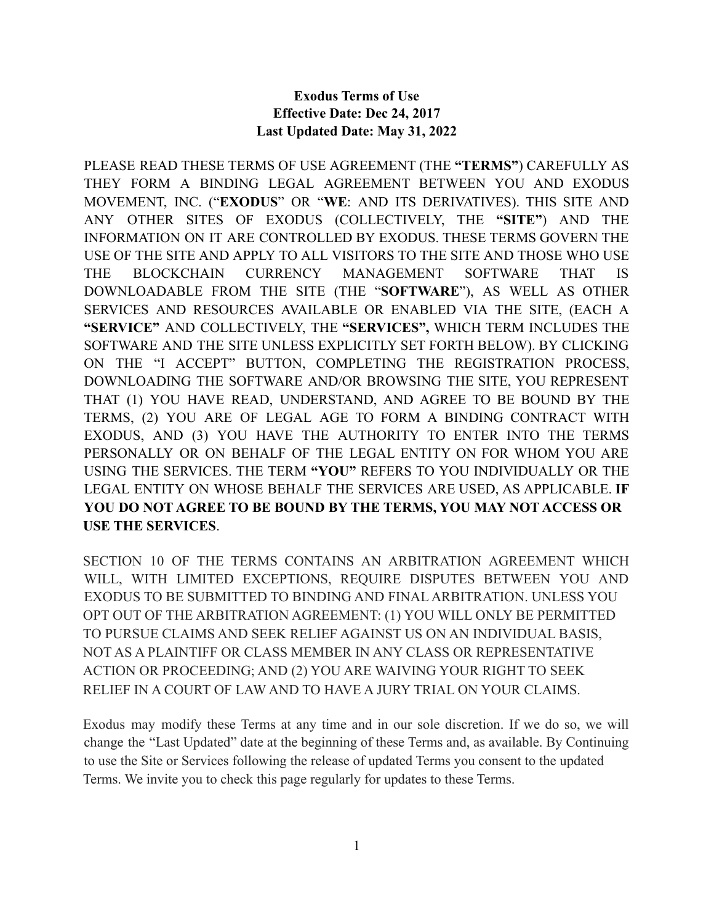# **Exodus Terms of Use Effective Date: Dec 24, 2017 Last Updated Date: May 31, 2022**

PLEASE READ THESE TERMS OF USE AGREEMENT (THE **"TERMS"**) CAREFULLY AS THEY FORM A BINDING LEGAL AGREEMENT BETWEEN YOU AND EXODUS MOVEMENT, INC. ("**EXODUS**" OR "**WE**: AND ITS DERIVATIVES). THIS SITE AND ANY OTHER SITES OF EXODUS (COLLECTIVELY, THE **"SITE"**) AND THE INFORMATION ON IT ARE CONTROLLED BY EXODUS. THESE TERMS GOVERN THE USE OF THE SITE AND APPLY TO ALL VISITORS TO THE SITE AND THOSE WHO USE THE BLOCKCHAIN CURRENCY MANAGEMENT SOFTWARE THAT IS DOWNLOADABLE FROM THE SITE (THE "**SOFTWARE**"), AS WELL AS OTHER SERVICES AND RESOURCES AVAILABLE OR ENABLED VIA THE SITE, (EACH A **"SERVICE"** AND COLLECTIVELY, THE **"SERVICES",** WHICH TERM INCLUDES THE SOFTWARE AND THE SITE UNLESS EXPLICITLY SET FORTH BELOW). BY CLICKING ON THE "I ACCEPT" BUTTON, COMPLETING THE REGISTRATION PROCESS, DOWNLOADING THE SOFTWARE AND/OR BROWSING THE SITE, YOU REPRESENT THAT (1) YOU HAVE READ, UNDERSTAND, AND AGREE TO BE BOUND BY THE TERMS, (2) YOU ARE OF LEGAL AGE TO FORM A BINDING CONTRACT WITH EXODUS, AND (3) YOU HAVE THE AUTHORITY TO ENTER INTO THE TERMS PERSONALLY OR ON BEHALF OF THE LEGAL ENTITY ON FOR WHOM YOU ARE USING THE SERVICES. THE TERM **"YOU"** REFERS TO YOU INDIVIDUALLY OR THE LEGAL ENTITY ON WHOSE BEHALF THE SERVICES ARE USED, AS APPLICABLE. **IF YOU DO NOT AGREE TO BE BOUND BY THE TERMS, YOU MAY NOT ACCESS OR USE THE SERVICES**.

SECTION 10 OF THE TERMS CONTAINS AN ARBITRATION AGREEMENT WHICH WILL, WITH LIMITED EXCEPTIONS, REQUIRE DISPUTES BETWEEN YOU AND EXODUS TO BE SUBMITTED TO BINDING AND FINAL ARBITRATION. UNLESS YOU OPT OUT OF THE ARBITRATION AGREEMENT: (1) YOU WILL ONLY BE PERMITTED TO PURSUE CLAIMS AND SEEK RELIEF AGAINST US ON AN INDIVIDUAL BASIS, NOT AS A PLAINTIFF OR CLASS MEMBER IN ANY CLASS OR REPRESENTATIVE ACTION OR PROCEEDING; AND (2) YOU ARE WAIVING YOUR RIGHT TO SEEK RELIEF IN A COURT OF LAW AND TO HAVE A JURY TRIAL ON YOUR CLAIMS.

Exodus may modify these Terms at any time and in our sole discretion. If we do so, we will change the "Last Updated" date at the beginning of these Terms and, as available. By Continuing to use the Site or Services following the release of updated Terms you consent to the updated Terms. We invite you to check this page regularly for updates to these Terms.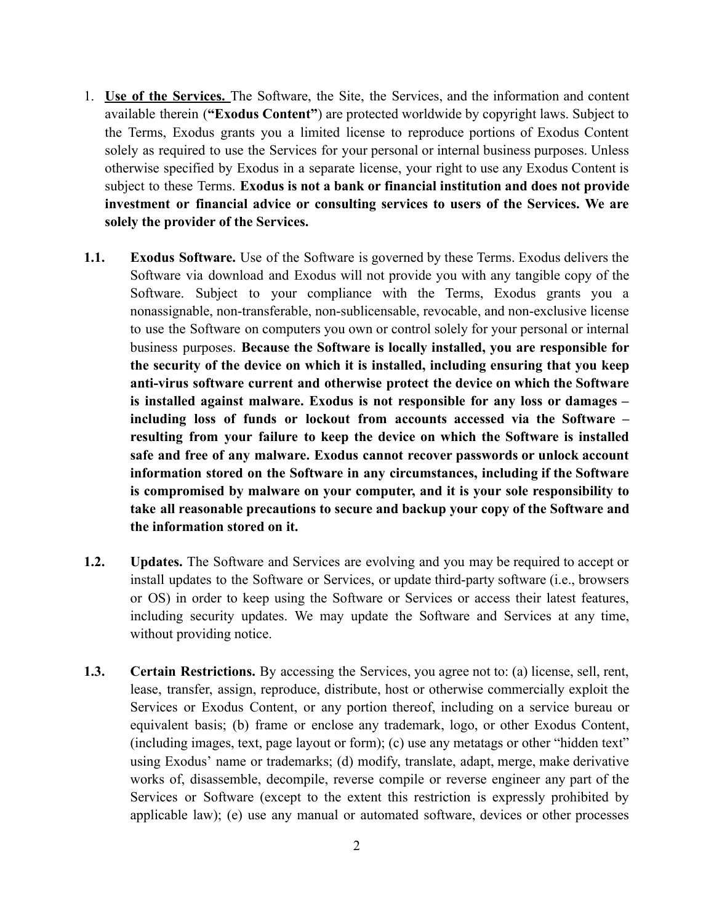- 1. **Use of the Services.** The Software, the Site, the Services, and the information and content available therein (**"Exodus Content"**) are protected worldwide by copyright laws. Subject to the Terms, Exodus grants you a limited license to reproduce portions of Exodus Content solely as required to use the Services for your personal or internal business purposes. Unless otherwise specified by Exodus in a separate license, your right to use any Exodus Content is subject to these Terms. **Exodus is not a bank or financial institution and does not provide investment or financial advice or consulting services to users of the Services. We are solely the provider of the Services.**
- **1.1. Exodus Software.** Use of the Software is governed by these Terms. Exodus delivers the Software via download and Exodus will not provide you with any tangible copy of the Software. Subject to your compliance with the Terms, Exodus grants you a nonassignable, non-transferable, non-sublicensable, revocable, and non-exclusive license to use the Software on computers you own or control solely for your personal or internal business purposes. **Because the Software is locally installed, you are responsible for the security of the device on which it is installed, including ensuring that you keep anti-virus software current and otherwise protect the device on which the Software is installed against malware. Exodus is not responsible for any loss or damages – including loss of funds or lockout from accounts accessed via the Software – resulting from your failure to keep the device on which the Software is installed safe and free of any malware. Exodus cannot recover passwords or unlock account information stored on the Software in any circumstances, including if the Software is compromised by malware on your computer, and it is your sole responsibility to take all reasonable precautions to secure and backup your copy of the Software and the information stored on it.**
- **1.2. Updates.** The Software and Services are evolving and you may be required to accept or install updates to the Software or Services, or update third-party software (i.e., browsers or OS) in order to keep using the Software or Services or access their latest features, including security updates. We may update the Software and Services at any time, without providing notice.
- **1.3. Certain Restrictions.** By accessing the Services, you agree not to: (a) license, sell, rent, lease, transfer, assign, reproduce, distribute, host or otherwise commercially exploit the Services or Exodus Content, or any portion thereof, including on a service bureau or equivalent basis; (b) frame or enclose any trademark, logo, or other Exodus Content, (including images, text, page layout or form); (c) use any metatags or other "hidden text" using Exodus' name or trademarks; (d) modify, translate, adapt, merge, make derivative works of, disassemble, decompile, reverse compile or reverse engineer any part of the Services or Software (except to the extent this restriction is expressly prohibited by applicable law); (e) use any manual or automated software, devices or other processes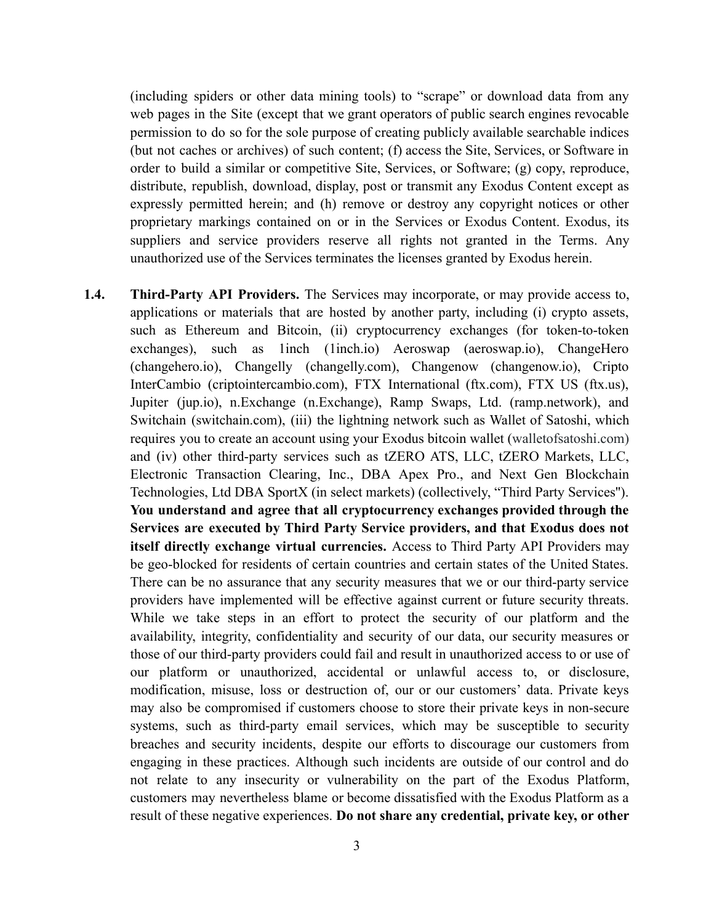(including spiders or other data mining tools) to "scrape" or download data from any web pages in the Site (except that we grant operators of public search engines revocable permission to do so for the sole purpose of creating publicly available searchable indices (but not caches or archives) of such content; (f) access the Site, Services, or Software in order to build a similar or competitive Site, Services, or Software; (g) copy, reproduce, distribute, republish, download, display, post or transmit any Exodus Content except as expressly permitted herein; and (h) remove or destroy any copyright notices or other proprietary markings contained on or in the Services or Exodus Content. Exodus, its suppliers and service providers reserve all rights not granted in the Terms. Any unauthorized use of the Services terminates the licenses granted by Exodus herein.

**1.4. Third-Party API Providers.** The Services may incorporate, or may provide access to, applications or materials that are hosted by another party, including (i) crypto assets, such as Ethereum and Bitcoin, (ii) cryptocurrency exchanges (for token-to-token exchanges), such as 1inch (1inch.io) Aeroswap (aeroswap.io), ChangeHero (changehero.io), Changelly (changelly.com), Changenow (changenow.io), Cripto InterCambio (criptointercambio.com), FTX International (ftx.com), FTX US (ftx.us), Jupiter (jup.io), n.Exchange (n.Exchange), Ramp Swaps, Ltd. (ramp.network), and Switchain (switchain.com), (iii) the lightning network such as Wallet of Satoshi, which requires you to create an account using your Exodus bitcoin wallet (walletofsatoshi.com) and (iv) other third-party services such as tZERO ATS, LLC, tZERO Markets, LLC, Electronic Transaction Clearing, Inc., DBA Apex Pro., and Next Gen Blockchain Technologies, Ltd DBA SportX (in select markets) (collectively, "Third Party Services''). **You understand and agree that all cryptocurrency exchanges provided through the Services are executed by Third Party Service providers, and that Exodus does not itself directly exchange virtual currencies.** Access to Third Party API Providers may be geo-blocked for residents of certain countries and certain states of the United States. There can be no assurance that any security measures that we or our third-party service providers have implemented will be effective against current or future security threats. While we take steps in an effort to protect the security of our platform and the availability, integrity, confidentiality and security of our data, our security measures or those of our third-party providers could fail and result in unauthorized access to or use of our platform or unauthorized, accidental or unlawful access to, or disclosure, modification, misuse, loss or destruction of, our or our customers' data. Private keys may also be compromised if customers choose to store their private keys in non-secure systems, such as third-party email services, which may be susceptible to security breaches and security incidents, despite our efforts to discourage our customers from engaging in these practices. Although such incidents are outside of our control and do not relate to any insecurity or vulnerability on the part of the Exodus Platform, customers may nevertheless blame or become dissatisfied with the Exodus Platform as a result of these negative experiences. **Do not share any credential, private key, or other**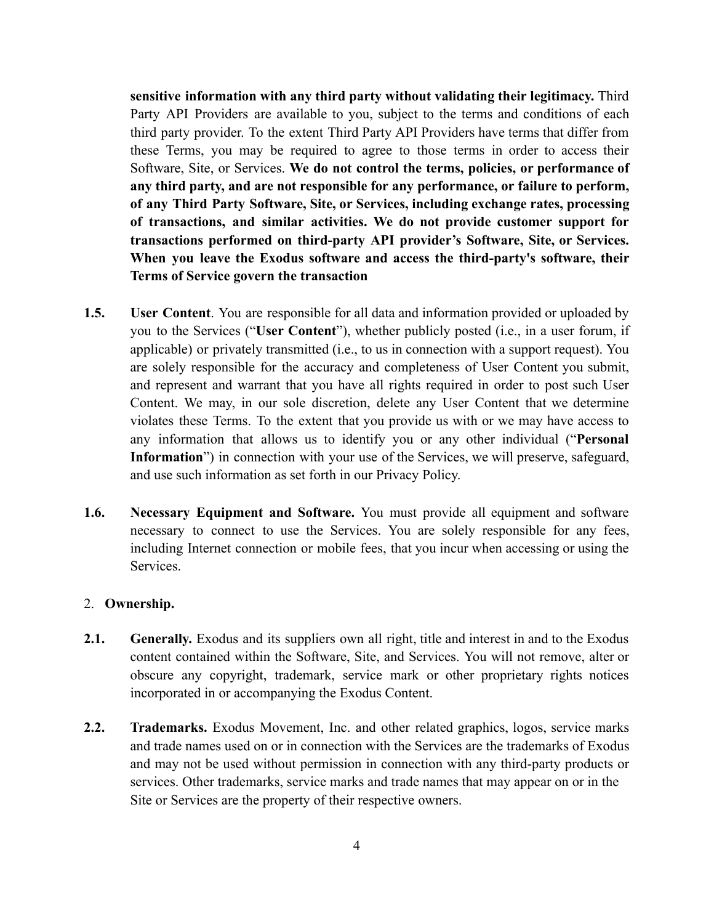**sensitive information with any third party without validating their legitimacy.** Third Party API Providers are available to you, subject to the terms and conditions of each third party provider. To the extent Third Party API Providers have terms that differ from these Terms, you may be required to agree to those terms in order to access their Software, Site, or Services. **We do not control the terms, policies, or performance of any third party, and are not responsible for any performance, or failure to perform, of any Third Party Software, Site, or Services, including exchange rates, processing of transactions, and similar activities. We do not provide customer support for transactions performed on third-party API provider's Software, Site, or Services. When you leave the Exodus software and access the third-party's software, their Terms of Service govern the transaction**

- **1.5. User Content**. You are responsible for all data and information provided or uploaded by you to the Services ("**User Content**"), whether publicly posted (i.e., in a user forum, if applicable) or privately transmitted (i.e., to us in connection with a support request). You are solely responsible for the accuracy and completeness of User Content you submit, and represent and warrant that you have all rights required in order to post such User Content. We may, in our sole discretion, delete any User Content that we determine violates these Terms. To the extent that you provide us with or we may have access to any information that allows us to identify you or any other individual ("**Personal** Information<sup>"</sup>) in connection with your use of the Services, we will preserve, safeguard, and use such information as set forth in our Privacy Policy.
- **1.6. Necessary Equipment and Software.** You must provide all equipment and software necessary to connect to use the Services. You are solely responsible for any fees, including Internet connection or mobile fees, that you incur when accessing or using the Services.

### 2. **Ownership.**

- **2.1. Generally.** Exodus and its suppliers own all right, title and interest in and to the Exodus content contained within the Software, Site, and Services. You will not remove, alter or obscure any copyright, trademark, service mark or other proprietary rights notices incorporated in or accompanying the Exodus Content.
- **2.2. Trademarks.** Exodus Movement, Inc. and other related graphics, logos, service marks and trade names used on or in connection with the Services are the trademarks of Exodus and may not be used without permission in connection with any third-party products or services. Other trademarks, service marks and trade names that may appear on or in the Site or Services are the property of their respective owners.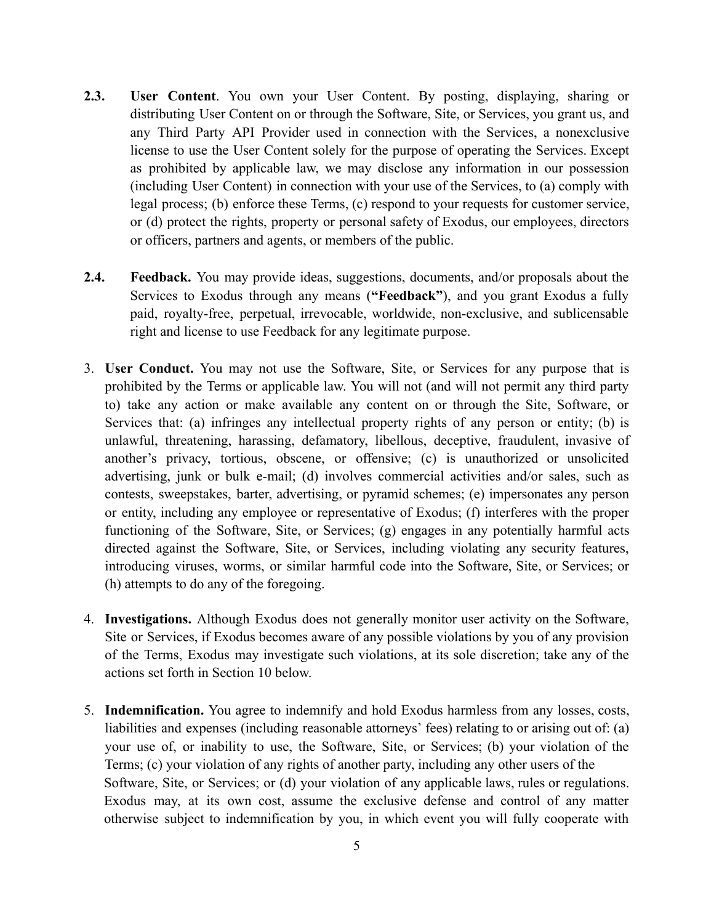- **2.3. User Content**. You own your User Content. By posting, displaying, sharing or distributing User Content on or through the Software, Site, or Services, you grant us, and any Third Party API Provider used in connection with the Services, a nonexclusive license to use the User Content solely for the purpose of operating the Services. Except as prohibited by applicable law, we may disclose any information in our possession (including User Content) in connection with your use of the Services, to (a) comply with legal process; (b) enforce these Terms, (c) respond to your requests for customer service, or (d) protect the rights, property or personal safety of Exodus, our employees, directors or officers, partners and agents, or members of the public.
- **2.4. Feedback.** You may provide ideas, suggestions, documents, and/or proposals about the Services to Exodus through any means (**"Feedback"**), and you grant Exodus a fully paid, royalty-free, perpetual, irrevocable, worldwide, non-exclusive, and sublicensable right and license to use Feedback for any legitimate purpose.
- 3. **User Conduct.** You may not use the Software, Site, or Services for any purpose that is prohibited by the Terms or applicable law. You will not (and will not permit any third party to) take any action or make available any content on or through the Site, Software, or Services that: (a) infringes any intellectual property rights of any person or entity; (b) is unlawful, threatening, harassing, defamatory, libellous, deceptive, fraudulent, invasive of another's privacy, tortious, obscene, or offensive; (c) is unauthorized or unsolicited advertising, junk or bulk e-mail; (d) involves commercial activities and/or sales, such as contests, sweepstakes, barter, advertising, or pyramid schemes; (e) impersonates any person or entity, including any employee or representative of Exodus; (f) interferes with the proper functioning of the Software, Site, or Services; (g) engages in any potentially harmful acts directed against the Software, Site, or Services, including violating any security features, introducing viruses, worms, or similar harmful code into the Software, Site, or Services; or (h) attempts to do any of the foregoing.
- 4. **Investigations.** Although Exodus does not generally monitor user activity on the Software, Site or Services, if Exodus becomes aware of any possible violations by you of any provision of the Terms, Exodus may investigate such violations, at its sole discretion; take any of the actions set forth in Section 10 below.
- 5. **Indemnification.** You agree to indemnify and hold Exodus harmless from any losses, costs, liabilities and expenses (including reasonable attorneys' fees) relating to or arising out of: (a) your use of, or inability to use, the Software, Site, or Services; (b) your violation of the Terms; (c) your violation of any rights of another party, including any other users of the Software, Site, or Services; or (d) your violation of any applicable laws, rules or regulations. Exodus may, at its own cost, assume the exclusive defense and control of any matter otherwise subject to indemnification by you, in which event you will fully cooperate with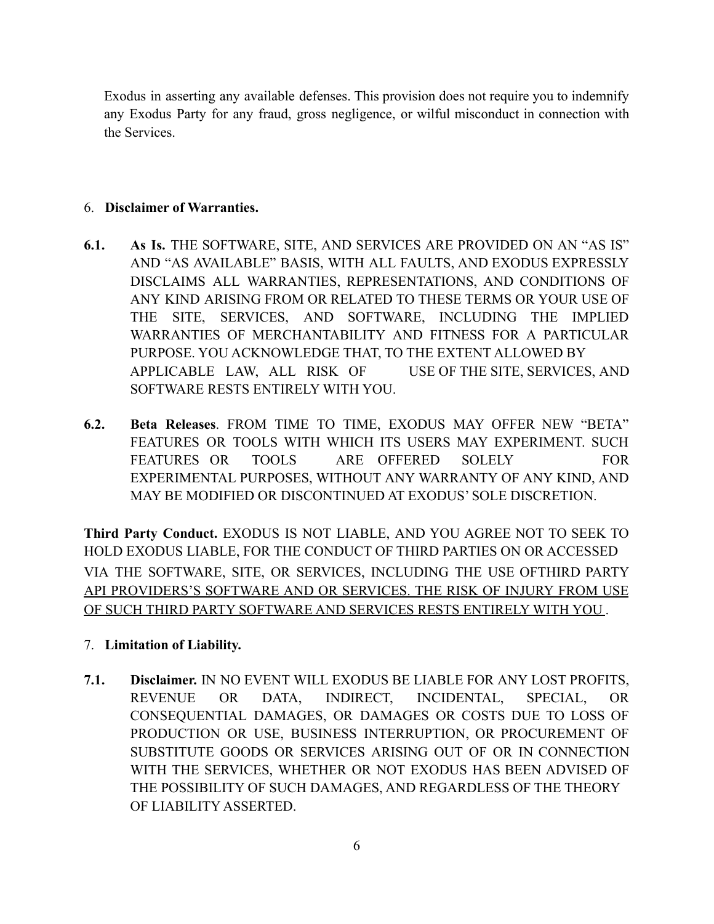Exodus in asserting any available defenses. This provision does not require you to indemnify any Exodus Party for any fraud, gross negligence, or wilful misconduct in connection with the Services.

## 6. **Disclaimer of Warranties.**

- **6.1. As Is.** THE SOFTWARE, SITE, AND SERVICES ARE PROVIDED ON AN "AS IS" AND "AS AVAILABLE" BASIS, WITH ALL FAULTS, AND EXODUS EXPRESSLY DISCLAIMS ALL WARRANTIES, REPRESENTATIONS, AND CONDITIONS OF ANY KIND ARISING FROM OR RELATED TO THESE TERMS OR YOUR USE OF THE SITE, SERVICES, AND SOFTWARE, INCLUDING THE IMPLIED WARRANTIES OF MERCHANTABILITY AND FITNESS FOR A PARTICULAR PURPOSE. YOU ACKNOWLEDGE THAT, TO THE EXTENT ALLOWED BY APPLICABLE LAW, ALL RISK OF USE OF THE SITE, SERVICES, AND SOFTWARE RESTS ENTIRELY WITH YOU.
- **6.2. Beta Releases**. FROM TIME TO TIME, EXODUS MAY OFFER NEW "BETA" FEATURES OR TOOLS WITH WHICH ITS USERS MAY EXPERIMENT. SUCH FEATURES OR TOOLS ARE OFFERED SOLELY FOR EXPERIMENTAL PURPOSES, WITHOUT ANY WARRANTY OF ANY KIND, AND MAY BE MODIFIED OR DISCONTINUED AT EXODUS' SOLE DISCRETION.

**Third Party Conduct.** EXODUS IS NOT LIABLE, AND YOU AGREE NOT TO SEEK TO HOLD EXODUS LIABLE, FOR THE CONDUCT OF THIRD PARTIES ON OR ACCESSED VIA THE SOFTWARE, SITE, OR SERVICES, INCLUDING THE USE OFTHIRD PARTY API PROVIDERS'S SOFTWARE AND OR SERVICES. THE RISK OF INJURY FROM USE OF SUCH THIRD PARTY SOFTWARE AND SERVICES RESTS ENTIRELY WITH YOU .

## 7. **Limitation of Liability.**

**7.1. Disclaimer.** IN NO EVENT WILL EXODUS BE LIABLE FOR ANY LOST PROFITS, REVENUE OR DATA, INDIRECT, INCIDENTAL, SPECIAL, OR CONSEQUENTIAL DAMAGES, OR DAMAGES OR COSTS DUE TO LOSS OF PRODUCTION OR USE, BUSINESS INTERRUPTION, OR PROCUREMENT OF SUBSTITUTE GOODS OR SERVICES ARISING OUT OF OR IN CONNECTION WITH THE SERVICES, WHETHER OR NOT EXODUS HAS BEEN ADVISED OF THE POSSIBILITY OF SUCH DAMAGES, AND REGARDLESS OF THE THEORY OF LIABILITY ASSERTED.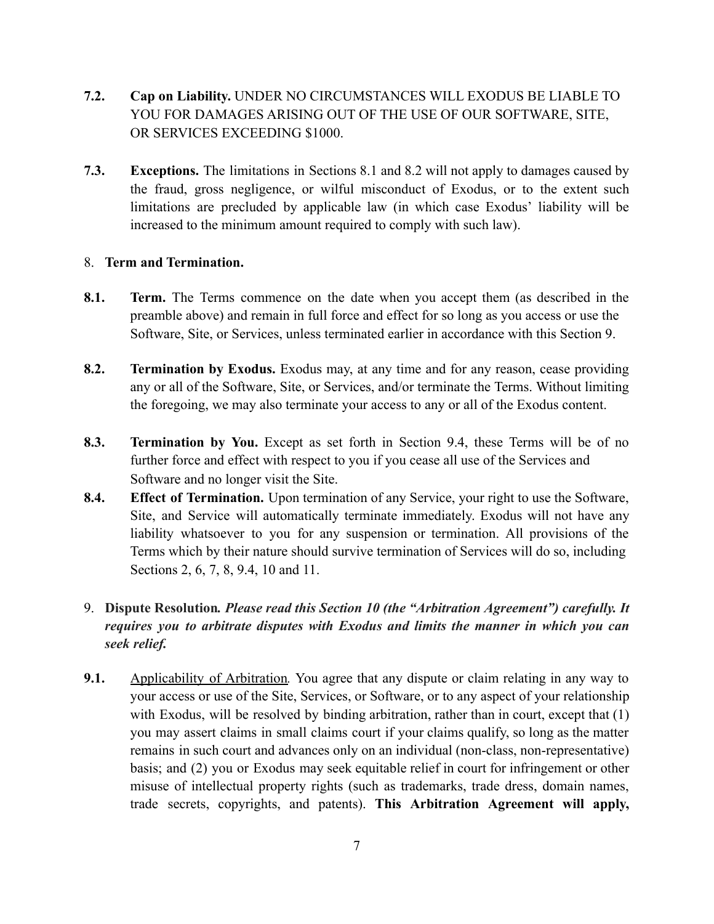- **7.2. Cap on Liability.** UNDER NO CIRCUMSTANCES WILL EXODUS BE LIABLE TO YOU FOR DAMAGES ARISING OUT OF THE USE OF OUR SOFTWARE, SITE, OR SERVICES EXCEEDING \$1000.
- **7.3. Exceptions.** The limitations in Sections 8.1 and 8.2 will not apply to damages caused by the fraud, gross negligence, or wilful misconduct of Exodus, or to the extent such limitations are precluded by applicable law (in which case Exodus' liability will be increased to the minimum amount required to comply with such law).

### 8. **Term and Termination.**

- **8.1. Term.** The Terms commence on the date when you accept them (as described in the preamble above) and remain in full force and effect for so long as you access or use the Software, Site, or Services, unless terminated earlier in accordance with this Section 9.
- **8.2. Termination by Exodus.** Exodus may, at any time and for any reason, cease providing any or all of the Software, Site, or Services, and/or terminate the Terms. Without limiting the foregoing, we may also terminate your access to any or all of the Exodus content.
- **8.3. Termination by You.** Except as set forth in Section 9.4, these Terms will be of no further force and effect with respect to you if you cease all use of the Services and Software and no longer visit the Site.
- **8.4. Effect of Termination.** Upon termination of any Service, your right to use the Software, Site, and Service will automatically terminate immediately. Exodus will not have any liability whatsoever to you for any suspension or termination. All provisions of the Terms which by their nature should survive termination of Services will do so, including Sections 2, 6, 7, 8, 9.4, 10 and 11.

# 9. **Dispute Resolution***. Please read this Section 10 (the "Arbitration Agreement") carefully. It requires you to arbitrate disputes with Exodus and limits the manner in which you can seek relief.*

**9.1.** Applicability of Arbitration. You agree that any dispute or claim relating in any way to your access or use of the Site, Services, or Software, or to any aspect of your relationship with Exodus, will be resolved by binding arbitration, rather than in court, except that (1) you may assert claims in small claims court if your claims qualify, so long as the matter remains in such court and advances only on an individual (non-class, non-representative) basis; and (2) you or Exodus may seek equitable relief in court for infringement or other misuse of intellectual property rights (such as trademarks, trade dress, domain names, trade secrets, copyrights, and patents). **This Arbitration Agreement will apply,**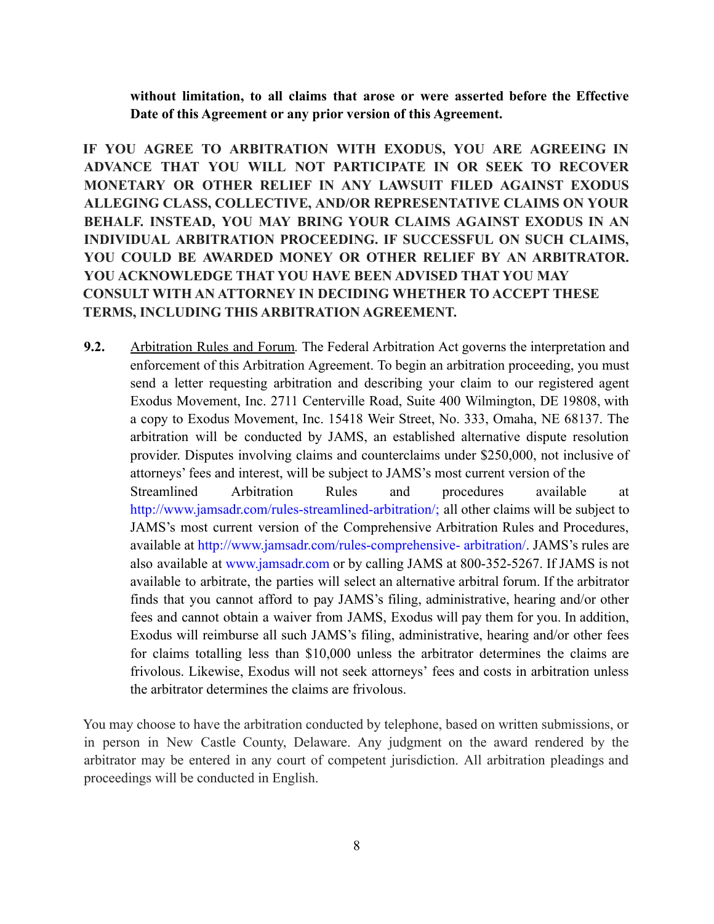**without limitation, to all claims that arose or were asserted before the Effective Date of this Agreement or any prior version of this Agreement.**

**IF YOU AGREE TO ARBITRATION WITH EXODUS, YOU ARE AGREEING IN ADVANCE THAT YOU WILL NOT PARTICIPATE IN OR SEEK TO RECOVER MONETARY OR OTHER RELIEF IN ANY LAWSUIT FILED AGAINST EXODUS ALLEGING CLASS, COLLECTIVE, AND/OR REPRESENTATIVE CLAIMS ON YOUR BEHALF. INSTEAD, YOU MAY BRING YOUR CLAIMS AGAINST EXODUS IN AN INDIVIDUAL ARBITRATION PROCEEDING. IF SUCCESSFUL ON SUCH CLAIMS, YOU COULD BE AWARDED MONEY OR OTHER RELIEF BY AN ARBITRATOR. YOU ACKNOWLEDGE THAT YOU HAVE BEEN ADVISED THAT YOU MAY CONSULT WITH AN ATTORNEY IN DECIDING WHETHER TO ACCEPT THESE TERMS, INCLUDING THIS ARBITRATION AGREEMENT.**

**9.2.** Arbitration Rules and Forum*.* The Federal Arbitration Act governs the interpretation and enforcement of this Arbitration Agreement. To begin an arbitration proceeding, you must send a letter requesting arbitration and describing your claim to our registered agent Exodus Movement, Inc. 2711 Centerville Road, Suite 400 Wilmington, DE 19808, with a copy to Exodus Movement, Inc. 15418 Weir Street, No. 333, Omaha, NE 68137. The arbitration will be conducted by JAMS, an established alternative dispute resolution provider. Disputes involving claims and counterclaims under \$250,000, not inclusive of attorneys' fees and interest, will be subject to JAMS's most current version of the Streamlined Arbitration Rules and procedures available at http://www.jamsadr.com/rules-streamlined-arbitration/; all other claims will be subject to JAMS's most current version of the Comprehensive Arbitration Rules and Procedures, available at http://www.jamsadr.com/rules-comprehensive- arbitration/. JAMS's rules are also available at www.jamsadr.com or by calling JAMS at 800-352-5267. If JAMS is not available to arbitrate, the parties will select an alternative arbitral forum. If the arbitrator finds that you cannot afford to pay JAMS's filing, administrative, hearing and/or other fees and cannot obtain a waiver from JAMS, Exodus will pay them for you. In addition, Exodus will reimburse all such JAMS's filing, administrative, hearing and/or other fees for claims totalling less than \$10,000 unless the arbitrator determines the claims are frivolous. Likewise, Exodus will not seek attorneys' fees and costs in arbitration unless the arbitrator determines the claims are frivolous.

You may choose to have the arbitration conducted by telephone, based on written submissions, or in person in New Castle County, Delaware. Any judgment on the award rendered by the arbitrator may be entered in any court of competent jurisdiction. All arbitration pleadings and proceedings will be conducted in English.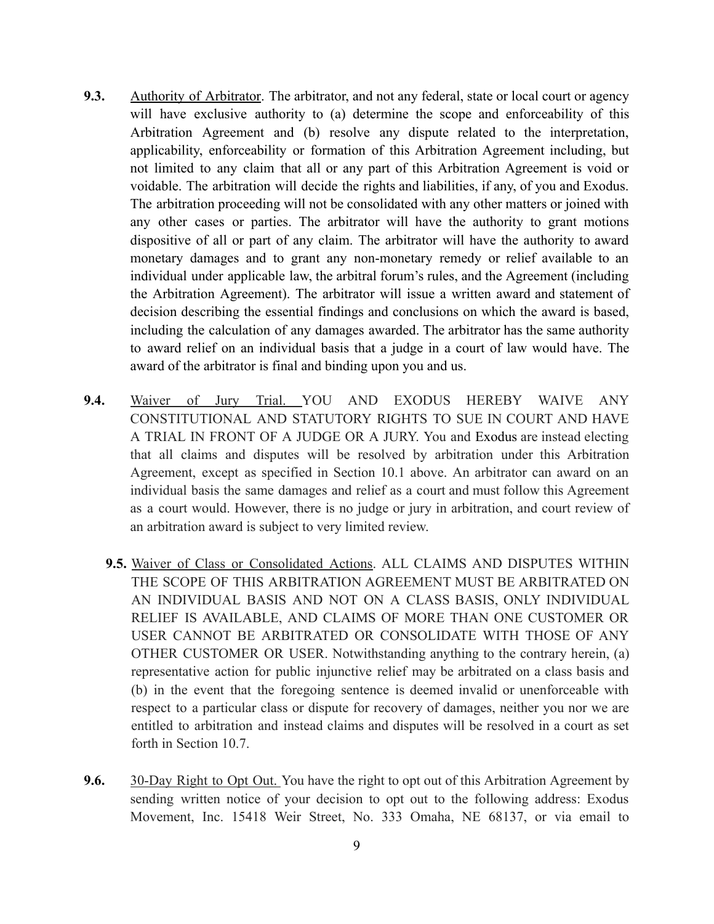- **9.3.** Authority of Arbitrator. The arbitrator, and not any federal, state or local court or agency will have exclusive authority to (a) determine the scope and enforceability of this Arbitration Agreement and (b) resolve any dispute related to the interpretation, applicability, enforceability or formation of this Arbitration Agreement including, but not limited to any claim that all or any part of this Arbitration Agreement is void or voidable. The arbitration will decide the rights and liabilities, if any, of you and Exodus. The arbitration proceeding will not be consolidated with any other matters or joined with any other cases or parties. The arbitrator will have the authority to grant motions dispositive of all or part of any claim. The arbitrator will have the authority to award monetary damages and to grant any non-monetary remedy or relief available to an individual under applicable law, the arbitral forum's rules, and the Agreement (including the Arbitration Agreement). The arbitrator will issue a written award and statement of decision describing the essential findings and conclusions on which the award is based, including the calculation of any damages awarded. The arbitrator has the same authority to award relief on an individual basis that a judge in a court of law would have. The award of the arbitrator is final and binding upon you and us.
- **9.4.** Waiver of Jury Trial. YOU AND EXODUS HEREBY WAIVE ANY CONSTITUTIONAL AND STATUTORY RIGHTS TO SUE IN COURT AND HAVE A TRIAL IN FRONT OF A JUDGE OR A JURY. You and Exodus are instead electing that all claims and disputes will be resolved by arbitration under this Arbitration Agreement, except as specified in Section 10.1 above. An arbitrator can award on an individual basis the same damages and relief as a court and must follow this Agreement as a court would. However, there is no judge or jury in arbitration, and court review of an arbitration award is subject to very limited review.
	- **9.5.** Waiver of Class or Consolidated Actions. ALL CLAIMS AND DISPUTES WITHIN THE SCOPE OF THIS ARBITRATION AGREEMENT MUST BE ARBITRATED ON AN INDIVIDUAL BASIS AND NOT ON A CLASS BASIS, ONLY INDIVIDUAL RELIEF IS AVAILABLE, AND CLAIMS OF MORE THAN ONE CUSTOMER OR USER CANNOT BE ARBITRATED OR CONSOLIDATE WITH THOSE OF ANY OTHER CUSTOMER OR USER. Notwithstanding anything to the contrary herein, (a) representative action for public injunctive relief may be arbitrated on a class basis and (b) in the event that the foregoing sentence is deemed invalid or unenforceable with respect to a particular class or dispute for recovery of damages, neither you nor we are entitled to arbitration and instead claims and disputes will be resolved in a court as set forth in Section 10.7.
- **9.6.** 30-Day Right to Opt Out. You have the right to opt out of this Arbitration Agreement by sending written notice of your decision to opt out to the following address: Exodus Movement, Inc. 15418 Weir Street, No. 333 Omaha, NE 68137, or via email to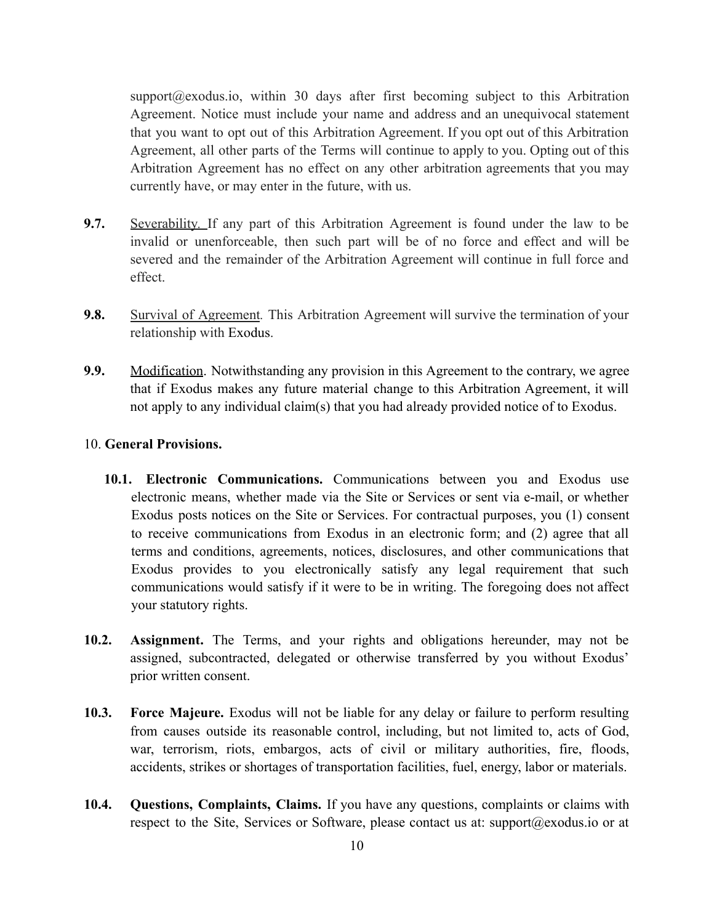support@exodus.io, within 30 days after first becoming subject to this Arbitration Agreement. Notice must include your name and address and an unequivocal statement that you want to opt out of this Arbitration Agreement. If you opt out of this Arbitration Agreement, all other parts of the Terms will continue to apply to you. Opting out of this Arbitration Agreement has no effect on any other arbitration agreements that you may currently have, or may enter in the future, with us.

- **9.7.** Severability*.* If any part of this Arbitration Agreement is found under the law to be invalid or unenforceable, then such part will be of no force and effect and will be severed and the remainder of the Arbitration Agreement will continue in full force and effect.
- **9.8.** Survival of Agreement. This Arbitration Agreement will survive the termination of your relationship with Exodus.
- **9.9.** Modification. Notwithstanding any provision in this Agreement to the contrary, we agree that if Exodus makes any future material change to this Arbitration Agreement, it will not apply to any individual claim(s) that you had already provided notice of to Exodus.

### 10. **General Provisions.**

- **10.1. Electronic Communications.** Communications between you and Exodus use electronic means, whether made via the Site or Services or sent via e-mail, or whether Exodus posts notices on the Site or Services. For contractual purposes, you (1) consent to receive communications from Exodus in an electronic form; and (2) agree that all terms and conditions, agreements, notices, disclosures, and other communications that Exodus provides to you electronically satisfy any legal requirement that such communications would satisfy if it were to be in writing. The foregoing does not affect your statutory rights.
- **10.2. Assignment.** The Terms, and your rights and obligations hereunder, may not be assigned, subcontracted, delegated or otherwise transferred by you without Exodus' prior written consent.
- **10.3. Force Majeure.** Exodus will not be liable for any delay or failure to perform resulting from causes outside its reasonable control, including, but not limited to, acts of God, war, terrorism, riots, embargos, acts of civil or military authorities, fire, floods, accidents, strikes or shortages of transportation facilities, fuel, energy, labor or materials.
- **10.4. Questions, Complaints, Claims.** If you have any questions, complaints or claims with respect to the Site, Services or Software, please contact us at: support@exodus.io or at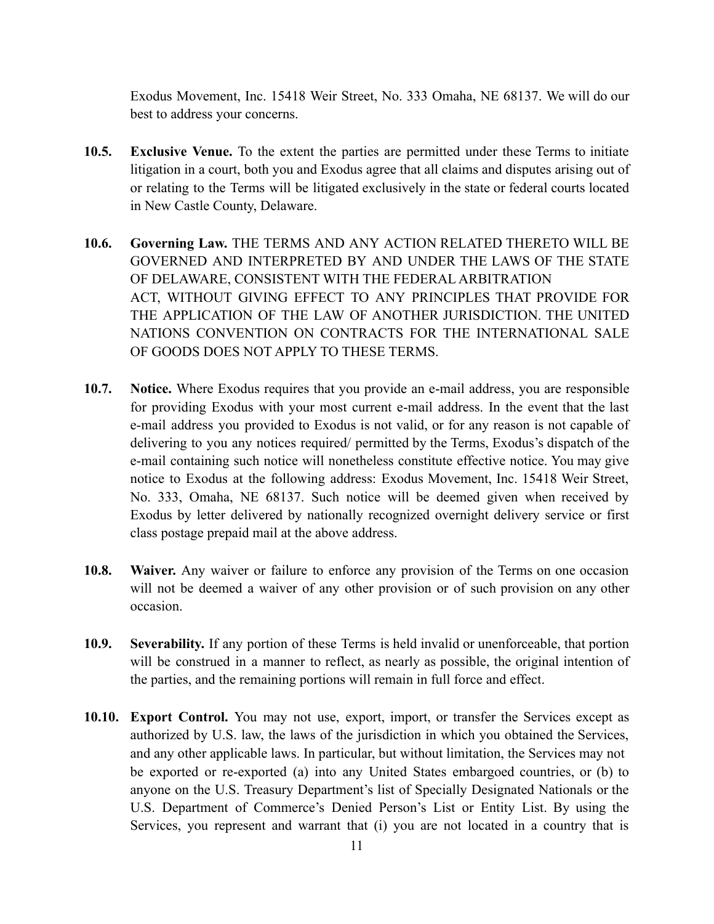Exodus Movement, Inc. 15418 Weir Street, No. 333 Omaha, NE 68137. We will do our best to address your concerns.

- **10.5. Exclusive Venue.** To the extent the parties are permitted under these Terms to initiate litigation in a court, both you and Exodus agree that all claims and disputes arising out of or relating to the Terms will be litigated exclusively in the state or federal courts located in New Castle County, Delaware.
- **10.6. Governing Law.** THE TERMS AND ANY ACTION RELATED THERETO WILL BE GOVERNED AND INTERPRETED BY AND UNDER THE LAWS OF THE STATE OF DELAWARE, CONSISTENT WITH THE FEDERAL ARBITRATION ACT, WITHOUT GIVING EFFECT TO ANY PRINCIPLES THAT PROVIDE FOR THE APPLICATION OF THE LAW OF ANOTHER JURISDICTION. THE UNITED NATIONS CONVENTION ON CONTRACTS FOR THE INTERNATIONAL SALE OF GOODS DOES NOT APPLY TO THESE TERMS.
- **10.7. Notice.** Where Exodus requires that you provide an e-mail address, you are responsible for providing Exodus with your most current e-mail address. In the event that the last e-mail address you provided to Exodus is not valid, or for any reason is not capable of delivering to you any notices required/ permitted by the Terms, Exodus's dispatch of the e-mail containing such notice will nonetheless constitute effective notice. You may give notice to Exodus at the following address: Exodus Movement, Inc. 15418 Weir Street, No. 333, Omaha, NE 68137. Such notice will be deemed given when received by Exodus by letter delivered by nationally recognized overnight delivery service or first class postage prepaid mail at the above address.
- **10.8. Waiver.** Any waiver or failure to enforce any provision of the Terms on one occasion will not be deemed a waiver of any other provision or of such provision on any other occasion.
- **10.9. Severability.** If any portion of these Terms is held invalid or unenforceable, that portion will be construed in a manner to reflect, as nearly as possible, the original intention of the parties, and the remaining portions will remain in full force and effect.
- **10.10. Export Control.** You may not use, export, import, or transfer the Services except as authorized by U.S. law, the laws of the jurisdiction in which you obtained the Services, and any other applicable laws. In particular, but without limitation, the Services may not be exported or re-exported (a) into any United States embargoed countries, or (b) to anyone on the U.S. Treasury Department's list of Specially Designated Nationals or the U.S. Department of Commerce's Denied Person's List or Entity List. By using the Services, you represent and warrant that (i) you are not located in a country that is